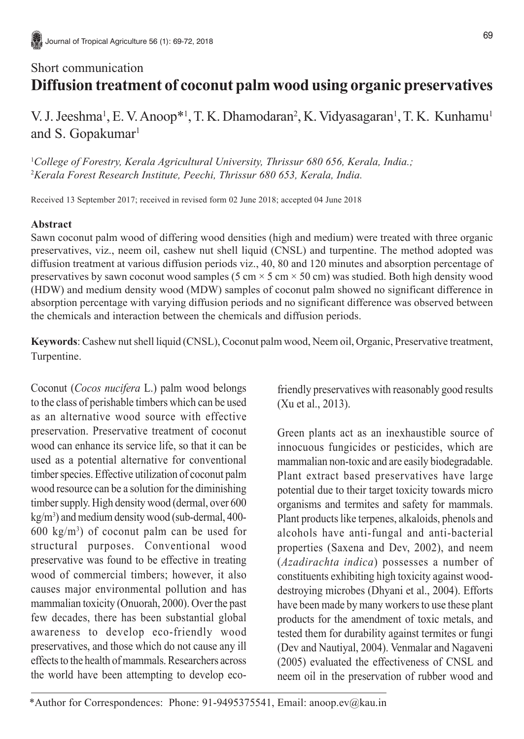# Short communication **Diffusion treatment of coconut palm wood using organic preservatives**

V. J. Jeeshma<sup>1</sup>, E. V. Anoop<sup>\*1</sup>, T. K. Dhamodaran<sup>2</sup>, K. Vidyasagaran<sup>1</sup>, T. K. Kunhamu<sup>1</sup> and S. Gopakumar<sup>1</sup>

1 *College of Forestry, Kerala Agricultural University, Thrissur 680 656, Kerala, India.;* 2 *Kerala Forest Research Institute, Peechi, Thrissur 680 653, Kerala, India.*

Received 13 September 2017; received in revised form 02 June 2018; accepted 04 June 2018

## **Abstract**

Sawn coconut palm wood of differing wood densities (high and medium) were treated with three organic preservatives, viz., neem oil, cashew nut shell liquid (CNSL) and turpentine. The method adopted was diffusion treatment at various diffusion periods viz., 40, 80 and 120 minutes and absorption percentage of preservatives by sawn coconut wood samples (5 cm  $\times$  5 cm  $\times$  50 cm) was studied. Both high density wood (HDW) and medium density wood (MDW) samples of coconut palm showed no significant difference in absorption percentage with varying diffusion periods and no significant difference was observed between the chemicals and interaction between the chemicals and diffusion periods.

**Keywords**: Cashew nut shell liquid (CNSL), Coconut palm wood, Neem oil, Organic, Preservative treatment, Turpentine.

Coconut (*Cocos nucifera* L.) palm wood belongs to the class of perishable timbers which can be used as an alternative wood source with effective preservation. Preservative treatment of coconut wood can enhance its service life, so that it can be used as a potential alternative for conventional timber species. Effective utilization of coconut palm wood resource can be a solution for the diminishing timber supply. High density wood (dermal, over 600 kg/m3 ) and medium density wood (sub-dermal, 400-  $600 \text{ kg/m}^3$  of coconut palm can be used for structural purposes. Conventional wood preservative was found to be effective in treating wood of commercial timbers; however, it also causes major environmental pollution and has mammalian toxicity (Onuorah, 2000). Over the past few decades, there has been substantial global awareness to develop eco-friendly wood preservatives, and those which do not cause any ill effects to the health of mammals. Researchers across the world have been attempting to develop eco-

friendly preservatives with reasonably good results (Xu et al., 2013).

Green plants act as an inexhaustible source of innocuous fungicides or pesticides, which are mammalian non-toxic and are easily biodegradable. Plant extract based preservatives have large potential due to their target toxicity towards micro organisms and termites and safety for mammals. Plant products like terpenes, alkaloids, phenols and alcohols have anti-fungal and anti-bacterial properties (Saxena and Dev, 2002), and neem (*Azadirachta indica*) possesses a number of constituents exhibiting high toxicity against wooddestroying microbes (Dhyani et al., 2004). Efforts have been made by many workers to use these plant products for the amendment of toxic metals, and tested them for durability against termites or fungi (Dev and Nautiyal, 2004). Venmalar and Nagaveni (2005) evaluated the effectiveness of CNSL and neem oil in the preservation of rubber wood and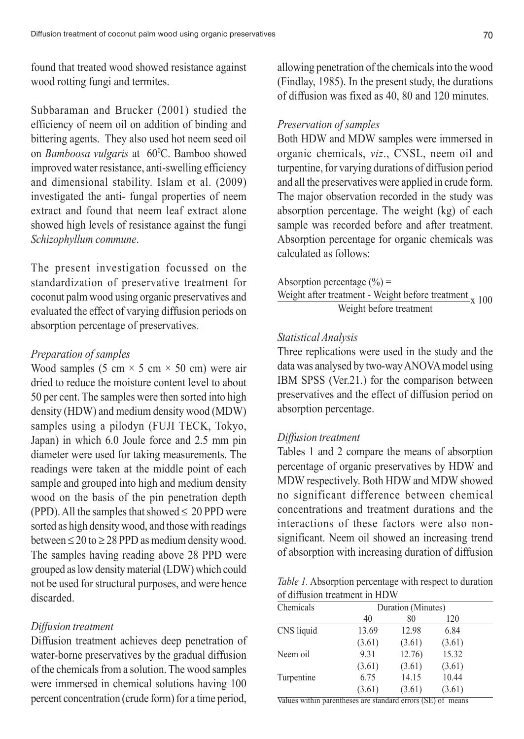found that treated wood showed resistance against wood rotting fungi and termites.

Subbaraman and Brucker (2001) studied the efficiency of neem oil on addition of binding and bittering agents. They also used hot neem seed oil on *Bamboosa vulgaris* at 60<sup>°</sup>C. Bamboo showed improved water resistance, anti-swelling efficiency and dimensional stability. Islam et al. (2009) investigated the anti- fungal properties of neem extract and found that neem leaf extract alone showed high levels of resistance against the fungi *Schizophyllum commune*.

The present investigation focussed on the standardization of preservative treatment for coconut palm wood using organic preservatives and evaluated the effect of varying diffusion periods on absorption percentage of preservatives.

#### *Preparation of samples*

Wood samples (5 cm  $\times$  5 cm  $\times$  50 cm) were air dried to reduce the moisture content level to about 50 per cent. The samples were then sorted into high density (HDW) and medium density wood (MDW) samples using a pilodyn (FUJI TECK, Tokyo, Japan) in which 6.0 Joule force and 2.5 mm pin diameter were used for taking measurements. The readings were taken at the middle point of each sample and grouped into high and medium density wood on the basis of the pin penetration depth (PPD). All the samples that showed  $\leq 20$  PPD were sorted as high density wood, and those with readings between  $\leq$  20 to  $\geq$  28 PPD as medium density wood. The samples having reading above 28 PPD were grouped as low density material (LDW) which could not be used for structural purposes, and were hence discarded.

#### *Diffusion treatment*

Diffusion treatment achieves deep penetration of water-borne preservatives by the gradual diffusion of the chemicals from a solution. The wood samples were immersed in chemical solutions having 100 percent concentration (crude form) for a time period,

allowing penetration of the chemicals into the wood (Findlay, 1985). In the present study, the durations of diffusion was fixed as 40, 80 and 120 minutes.

#### *Preservation of samples*

Both HDW and MDW samples were immersed in organic chemicals, *viz*., CNSL, neem oil and turpentine, for varying durations of diffusion period and all the preservatives were applied in crude form. The major observation recorded in the study was absorption percentage. The weight (kg) of each sample was recorded before and after treatment. Absorption percentage for organic chemicals was calculated as follows:

Absorption percentage  $(\% )$  = Weight after treatment - Weight before treatment  $\frac{x}{100}$ Weight before treatment

#### *Statistical Analysis*

Three replications were used in the study and the data was analysed by two-way ANOVA model using IBM SPSS (Ver.21.) for the comparison between preservatives and the effect of diffusion period on absorption percentage.

### *Diffusion treatment*

Tables 1 and 2 compare the means of absorption percentage of organic preservatives by HDW and MDW respectively. Both HDW and MDW showed no significant difference between chemical concentrations and treatment durations and the interactions of these factors were also nonsignificant. Neem oil showed an increasing trend of absorption with increasing duration of diffusion

*Table 1.* Absorption percentage with respect to duration of diffusion treatment in HDW

| Chemicals  | Duration (Minutes) |        |        |  |
|------------|--------------------|--------|--------|--|
|            | 40                 | 80     | 120    |  |
| CNS liquid | 13.69              | 12.98  | 6.84   |  |
|            | (3.61)             | (3.61) | (3.61) |  |
| Neem oil   | 9.31               | 12.76) | 15.32  |  |
|            | (3.61)             | (3.61) | (3.61) |  |
| Turpentine | 6.75               | 14.15  | 10.44  |  |
|            | (3.61)             | (3.61) | (3.61) |  |

Values within parentheses are standard errors (SE) of means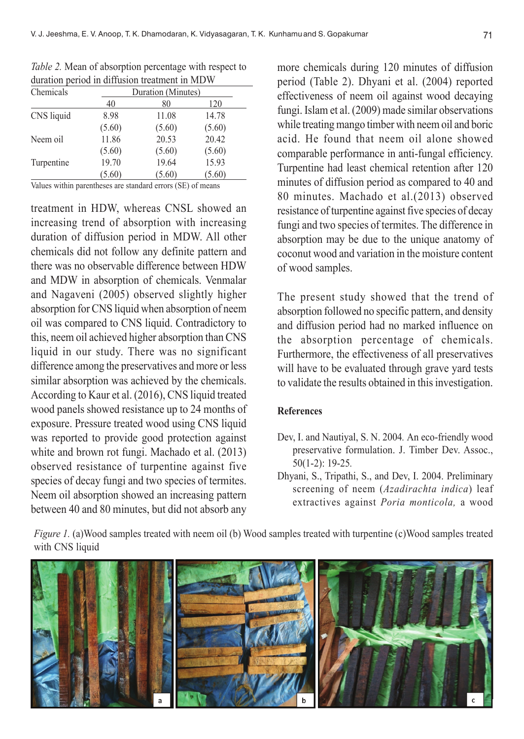| Chemicals  | Duration (Minutes) |        |        |  |
|------------|--------------------|--------|--------|--|
|            | 40                 | 80     | 120    |  |
| CNS liquid | 8.98               | 11.08  | 14.78  |  |
|            | (5.60)             | (5.60) | (5.60) |  |
| Neem oil   | 11.86              | 20.53  | 20.42  |  |
|            | (5.60)             | (5.60) | (5.60) |  |
| Turpentine | 19.70              | 19.64  | 15.93  |  |
|            | (5.60)             | (5.60) | (5.60) |  |

*Table 2.* Mean of absorption percentage with respect to duration period in diffusion treatment in MDW

Values within parentheses are standard errors (SE) of means

treatment in HDW, whereas CNSL showed an increasing trend of absorption with increasing duration of diffusion period in MDW. All other chemicals did not follow any definite pattern and there was no observable difference between HDW and MDW in absorption of chemicals. Venmalar and Nagaveni (2005) observed slightly higher absorption for CNS liquid when absorption of neem oil was compared to CNS liquid. Contradictory to this, neem oil achieved higher absorption than CNS liquid in our study. There was no significant difference among the preservatives and more or less similar absorption was achieved by the chemicals. According to Kaur et al. (2016), CNS liquid treated wood panels showed resistance up to 24 months of exposure. Pressure treated wood using CNS liquid was reported to provide good protection against white and brown rot fungi. Machado et al. (2013) observed resistance of turpentine against five species of decay fungi and two species of termites. Neem oil absorption showed an increasing pattern between 40 and 80 minutes, but did not absorb any

more chemicals during 120 minutes of diffusion period (Table 2). Dhyani et al. (2004) reported effectiveness of neem oil against wood decaying fungi. Islam et al. (2009) made similar observations while treating mango timber with neem oil and boric acid. He found that neem oil alone showed comparable performance in anti-fungal efficiency. Turpentine had least chemical retention after 120 minutes of diffusion period as compared to 40 and 80 minutes. Machado et al.(2013) observed resistance of turpentine against five species of decay fungi and two species of termites. The difference in absorption may be due to the unique anatomy of coconut wood and variation in the moisture content of wood samples.

The present study showed that the trend of absorption followed no specific pattern, and density and diffusion period had no marked influence on the absorption percentage of chemicals. Furthermore, the effectiveness of all preservatives will have to be evaluated through grave yard tests to validate the results obtained in this investigation.

#### **References**

- Dev, I. and Nautiyal, S. N. 2004*.* An eco-friendly wood preservative formulation. J. Timber Dev. Assoc., 50(1-2): 19-25*.*
- Dhyani, S., Tripathi, S., and Dev, I. 2004. Preliminary screening of neem (*Azadirachta indica*) leaf extractives against *Poria monticola,* a wood

*Figure 1.* (a)Wood samples treated with neem oil (b) Wood samples treated with turpentine (c)Wood samples treated with CNS liquid